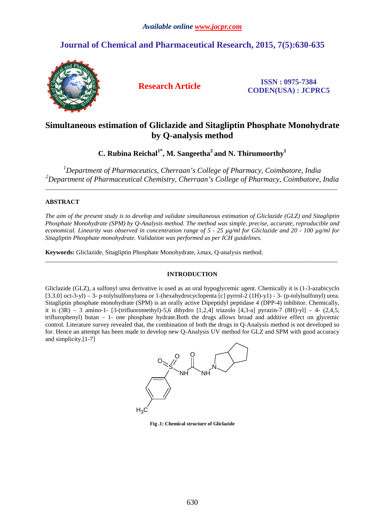# **Journal of Chemical and Pharmaceutical Research, 2015, 7(5):630-635**



**Research Article ISSN : 0975-7384 CODEN(USA) : JCPRC5**

# **Simultaneous estimation of Gliclazide and Sitagliptin Phosphate Monohydrate by Q-analysis method**

**C. Rubina Reichal1\*, M. Sangeetha<sup>2</sup>and N. Thirumoorthy<sup>1</sup>**

*<sup>1</sup>Department of Pharmaceutics, Cherraan's College of Pharmacy, Coimbatore, India <sup>2</sup>Department of Pharmaceutical Chemistry, Cherraan's College of Pharmacy, Coimbatore, India* 

\_\_\_\_\_\_\_\_\_\_\_\_\_\_\_\_\_\_\_\_\_\_\_\_\_\_\_\_\_\_\_\_\_\_\_\_\_\_\_\_\_\_\_\_\_\_\_\_\_\_\_\_\_\_\_\_\_\_\_\_\_\_\_\_\_\_\_\_\_\_\_\_\_\_\_\_\_\_\_\_\_\_\_\_\_\_\_\_\_\_\_\_\_

# **ABSTRACT**

*The aim of the present study is to develop and validate simultaneous estimation of Gliclazide (GLZ) and Sitagliptin Phosphate Monohydrate (SPM) by Q-Analysis method. The method was simple, precise, accurate, reproducible and economical. Linearity was observed in concentration range of 5 - 25 µg/ml for Gliclazide and 20 - 100 µg/ml for Sitagliptin Phosphate monohydrate. Validation was performed as per ICH guidelines.*

**Keywords:** Gliclazide, Sitagliptin Phosphate Monohydrate, λmax, Q-analysis method.

# **INTRODUCTION**

\_\_\_\_\_\_\_\_\_\_\_\_\_\_\_\_\_\_\_\_\_\_\_\_\_\_\_\_\_\_\_\_\_\_\_\_\_\_\_\_\_\_\_\_\_\_\_\_\_\_\_\_\_\_\_\_\_\_\_\_\_\_\_\_\_\_\_\_\_\_\_\_\_\_\_\_\_\_\_\_\_\_\_\_\_\_\_\_\_\_\_\_\_

Gliclazide (GLZ), a sulfonyl urea derivative is used as an oral hypoglycemic agent. Chemically it is (1-3-azabicyclo [3.3.0] oct-3-yl) – 3- p-tolylsulfonylurea or 1-(hexahydrocyclopenta [c] pyrrol-2 (1H)-y1) - 3- (p-tolylsulfonyl) urea. Sitagliptin phosphate monohydrate (SPM) is an orally active Dipeptidyl peptidase 4 (DPP-4) inhibitor. Chemically, it is  $(3R) - 3$  amino-1- [3-(trifluoromethyl)-5,6 dihydro [1,2,4] triazolo [4,3-a] pyrazin-7  $(8H)$ -yl] – 4-  $(2,4,5,$ triflurophenyl) butan – 1- one phosphate hydrate.Both the drugs allows broad and additive effect on glycemic control. Literature survey revealed that, the combination of both the drugs in Q-Analysis method is not developed so for. Hence an attempt has been made to develop new Q-Analysis UV method for GLZ and SPM with good accuracy and simplicity.[1-7]



**Fig .1: Chemical structure of Gliclazide**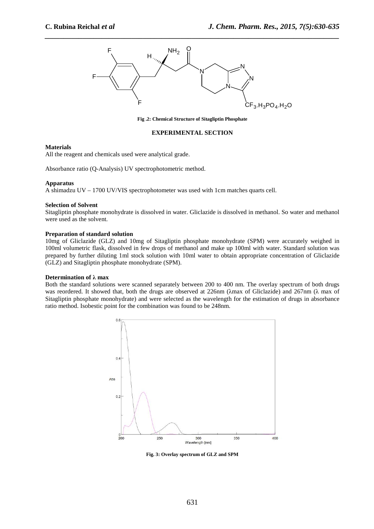

*\_\_\_\_\_\_\_\_\_\_\_\_\_\_\_\_\_\_\_\_\_\_\_\_\_\_\_\_\_\_\_\_\_\_\_\_\_\_\_\_\_\_\_\_\_\_\_\_\_\_\_\_\_\_\_\_\_\_\_\_\_\_\_\_\_\_\_\_\_\_\_\_\_\_\_\_\_\_*

**Fig .2: Chemical Structure of Sitagliptin Phosphate**

# **EXPERIMENTAL SECTION**

#### **Materials**

All the reagent and chemicals used were analytical grade.

Absorbance ratio (Q-Analysis) UV spectrophotometric method.

#### **Apparatus**

A shimadzu UV – 1700 UV/VIS spectrophotometer was used with 1cm matches quarts cell.

#### **Selection of Solvent**

Sitagliptin phosphate monohydrate is dissolved in water. Gliclazide is dissolved in methanol. So water and methanol were used as the solvent.

#### **Preparation of standard solution**

10mg of Gliclazide (GLZ) and 10mg of Sitagliptin phosphate monohydrate (SPM) were accurately weighed in 100ml volumetric flask, dissolved in few drops of methanol and make up 100ml with water. Standard solution was prepared by further diluting 1ml stock solution with 10ml water to obtain appropriate concentration of Gliclazide (GLZ) and Sitagliptin phosphate monohydrate (SPM).

#### **Determination of λ max**

Both the standard solutions were scanned separately between 200 to 400 nm. The overlay spectrum of both drugs was reordered. It showed that, both the drugs are observed at 226nm (λmax of Gliclazide) and 267nm (λ max of Sitagliptin phosphate monohydrate) and were selected as the wavelength for the estimation of drugs in absorbance ratio method. Isobestic point for the combination was found to be 248nm.



**Fig. 3: Overlay spectrum of GLZ and SPM**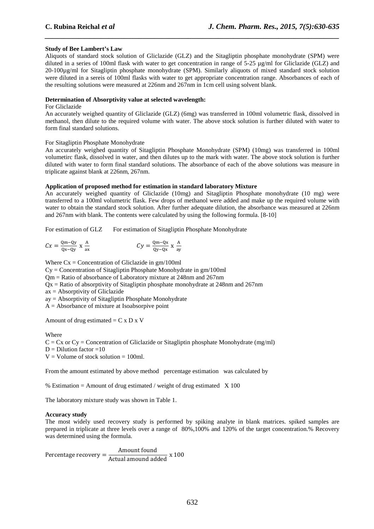# **Study of Bee Lambert's Law**

Aliquots of standard stock solution of Gliclazide (GLZ) and the Sitagliptin phosphate monohydrate (SPM) were diluted in a series of 100ml flask with water to get concentration in range of 5-25 µg/ml for Gliclazide (GLZ) and 20-100µg/ml for Sitagliptin phosphate monohydrate (SPM). Similarly aliquots of mixed standard stock solution were diluted in a sereis of 100ml flasks with water to get appropriate concentration range. Absorbances of each of the resulting solutions were measured at 226nm and 267nm in 1cm cell using solvent blank.

*\_\_\_\_\_\_\_\_\_\_\_\_\_\_\_\_\_\_\_\_\_\_\_\_\_\_\_\_\_\_\_\_\_\_\_\_\_\_\_\_\_\_\_\_\_\_\_\_\_\_\_\_\_\_\_\_\_\_\_\_\_\_\_\_\_\_\_\_\_\_\_\_\_\_\_\_\_\_*

## **Determination of Absorptivity value at selected wavelength:**

## For Gliclazide

An accurately weighed quantity of Gliclazide (GLZ) (6mg) was transferred in 100ml volumetric flask, dissolved in methanol, then dilute to the required volume with water. The above stock solution is further diluted with water to form final standard solutions.

#### For Sitagliptin Phosphate Monohydrate

An accurately weighed quantity of Sitagliptin Phosphate Monohydrate (SPM) (10mg) was transferred in 100ml volumetirc flask, dissolved in water, and then dilutes up to the mark with water. The above stock solution is further diluted with water to form final standard solutions. The absorbance of each of the above solutions was measure in triplicate against blank at 226nm, 267nm.

#### **Application of proposed method for estimation in standard laboratory Mixture**

An accurately weighed quantity of Gliclazide (10mg) and Sitagliptin Phosphate monohydrate (10 mg) were transferred to a 100ml volumetric flask. Few drops of methanol were added and make up the required volume with water to obtain the standard stock solution. After further adequate dilution, the absorbance was measured at 226nm and 267nm with blank. The contents were calculated by using the following formula. [8-10]

For estimation of GLZ For estimation of Sitagliptin Phosphate Monohydrate

$$
Cx = \frac{Qm - Qy}{Qx - Qy} \times \frac{A}{ax}
$$
  

$$
Cy = \frac{Qm - Qx}{Qy - Qx} \times \frac{A}{ay}
$$

Where  $Cx =$  Concentration of Gliclazide in  $gm/100ml$ 

Cy = Concentration of Sitagliptin Phosphate Monohydrate in gm/100ml

Qm = Ratio of absorbance of Laboratory mixture at 248nm and 267nm

Qx = Ratio of absorptivity of Sitagliptin phosphate monohydrate at 248nm and 267nm

ax = Absorptivity of Gliclazide

ay = Absorptivity of Sitagliptin Phosphate Monohydrate

 $A = Absorbane$  of mixture at Isoabsorpive point

Amount of drug estimated  $= C x D x V$ 

Where

 $C = Cx$  or  $Cy =$  Concentration of Gliclazide or Sitagliptin phosphate Monohydrate (mg/ml)  $D =$  Dilution factor  $=10$ 

 $V =$  Volume of stock solution = 100ml.

From the amount estimated by above method percentage estimation was calculated by

% Estimation = Amount of drug estimated / weight of drug estimated  $X$  100

The laboratory mixture study was shown in Table 1.

#### **Accuracy study**

The most widely used recovery study is performed by spiking analyte in blank matrices. spiked samples are prepared in triplicate at three levels over a range of 80%,100% and 120% of the target concentration.% Recovery was determined using the formula.

Percentage recovery  $=$   $\frac{\text{Amount found}}{\text{Actual amount added}} \times 100$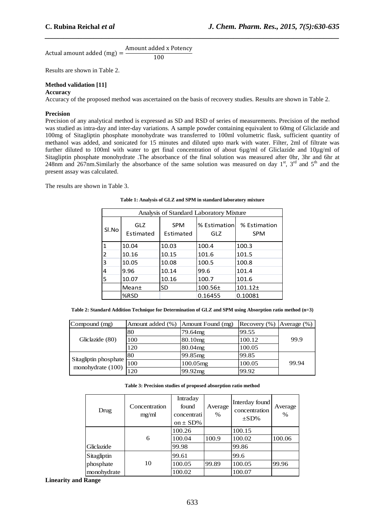Actual amount added (mg) = 
$$
\frac{\text{Amount added x Potency}}{100}
$$

Results are shown in Table 2.

# **Method validation [11]**

# **Accuracy**

Accuracy of the proposed method was ascertained on the basis of recovery studies. Results are shown in Table 2.

*\_\_\_\_\_\_\_\_\_\_\_\_\_\_\_\_\_\_\_\_\_\_\_\_\_\_\_\_\_\_\_\_\_\_\_\_\_\_\_\_\_\_\_\_\_\_\_\_\_\_\_\_\_\_\_\_\_\_\_\_\_\_\_\_\_\_\_\_\_\_\_\_\_\_\_\_\_\_*

## **Precision**

Precision of any analytical method is expressed as SD and RSD of series of measurements. Precision of the method was studied as intra-day and inter-day variations. A sample powder containing equivalent to 60mg of Gliclazide and 100mg of Sitagliptin phosphate monohydrate was transferred to 100ml volumetric flask, sufficient quantity of methanol was added, and sonicated for 15 minutes and diluted upto mark with water. Filter, 2ml of filtrate was further diluted to 100ml with water to get final concentration of about 6ug/ml of Gliclazide and 10ug/ml of Sitagliptin phosphate monohydrate .The absorbance of the final solution was measured after 0hr, 3hr and 6hr at 248nm and 267nm.Similarly the absorbance of the same solution was measured on day 1<sup>st</sup>, 3<sup>rd</sup> and 5<sup>th</sup> and the present assay was calculated.

The results are shown in Table 3.

| Analysis of Standard Laboratory Mixture |                  |                         |                     |                            |
|-----------------------------------------|------------------|-------------------------|---------------------|----------------------------|
| Sl.No                                   | GLZ<br>Estimated | <b>SPM</b><br>Estimated | % Estimation<br>GLZ | % Estimation<br><b>SPM</b> |
| 1                                       | 10.04            | 10.03                   | 100.4               | 100.3                      |
| 2                                       | 10.16            | 10.15                   | 101.6               | 101.5                      |
| 3                                       | 10.05            | 10.08                   | 100.5               | 100.8                      |
| 4                                       | 9.96             | 10.14                   | 99.6                | 101.4                      |
| 5                                       | 10.07            | 10.16                   | 100.7               | 101.6                      |
|                                         | Mean±            | SD                      | 100.56±             | $101.12 \pm$               |
|                                         | %RSD             |                         | 0.16455             | 0.10081                    |

**Table 1: Analysis of GLZ and SPM in standard laboratory mixture** 

**Table 2: Standard Addition Technique for Determination of GLZ and SPM using Absorption ratio method (n=3)** 

| Compound (mg)                              | Amount added (%) | Amount Found (mg)   | Recovery $(\%)$ Average $(\%)$ |       |
|--------------------------------------------|------------------|---------------------|--------------------------------|-------|
|                                            | 80               | 79.64mg             | 99.55                          |       |
| Gliclazide (80)                            | 100              | 80.10 <sub>mg</sub> | 100.12                         | 99.9  |
|                                            | 120              | 80.04mg             | 100.05                         |       |
|                                            | 80               | 99.85mg             | 99.85                          |       |
| Sitagliptin phosphate<br>monohydrate (100) | 100              | 100.05mg            | 100.05                         | 99.94 |
|                                            | 120              | 199.92mg            | 99.92                          |       |

**Table 3: Precision studies of proposed absorption ratio method** 

| Drug        | Concentration<br>mg/ml | Intraday<br>found<br>concentrati<br>on $\pm$ SD% | Average<br>$\%$ | Interday found<br>concentration<br>$\pm$ SD% | Average<br>$\%$ |
|-------------|------------------------|--------------------------------------------------|-----------------|----------------------------------------------|-----------------|
|             |                        | 100.26                                           |                 | 100.15                                       |                 |
|             | 6                      | 100.04                                           | 100.9           | 100.02                                       | 100.06          |
| Gliclazide  |                        | 99.98                                            |                 | 99.86                                        |                 |
| Sitagliptin |                        | 99.61                                            |                 | 99.6                                         |                 |
| phosphate   | 10                     | 100.05                                           | 99.89           | 100.05                                       | 99.96           |
| monohydrate |                        | 100.02                                           |                 | 100.07                                       |                 |

**Linearity and Range**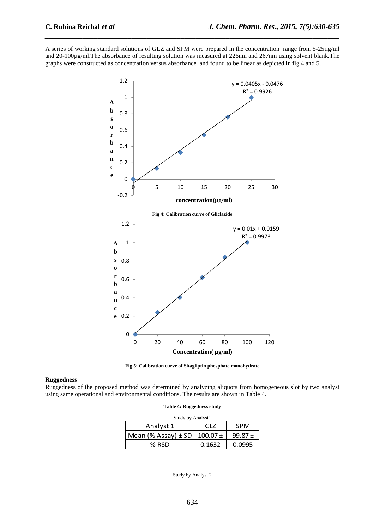A series of working standard solutions of GLZ and SPM were prepared in the concentration range from 5-25µg/ml and 20-100µg/ml.The absorbance of resulting solution was measured at 226nm and 267nm using solvent blank.The graphs were constructed as concentration versus absorbance and found to be linear as depicted in fig 4 and 5.

*\_\_\_\_\_\_\_\_\_\_\_\_\_\_\_\_\_\_\_\_\_\_\_\_\_\_\_\_\_\_\_\_\_\_\_\_\_\_\_\_\_\_\_\_\_\_\_\_\_\_\_\_\_\_\_\_\_\_\_\_\_\_\_\_\_\_\_\_\_\_\_\_\_\_\_\_\_\_*





#### **Ruggedness**

Ruggedness of the proposed method was determined by analyzing aliquots from homogeneous slot by two analyst using same operational and environmental conditions. The results are shown in Table 4.

|  |  | Table 4: Ruggedness study |  |
|--|--|---------------------------|--|
|--|--|---------------------------|--|

| Study by Analyst1         |              |             |  |  |  |
|---------------------------|--------------|-------------|--|--|--|
| Analyst 1                 | GLZ          | <b>SPM</b>  |  |  |  |
| $Mean$ (% Assay) $\pm$ SD | $100.07 \pm$ | 99.87 $\pm$ |  |  |  |
| $%$ RSD                   | 0.1632       | 0.0995      |  |  |  |

Study by Analyst 2